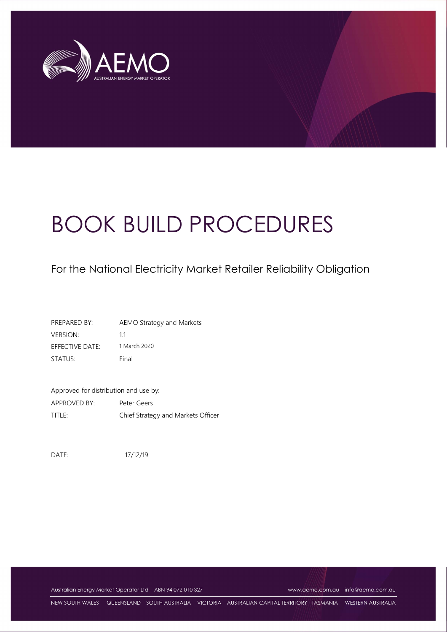

# BOOK BUILD PROCEDURES

# For the National Electricity Market Retailer Reliability Obligation

| PREPARED BY:    | AEMO Strategy and Markets |
|-----------------|---------------------------|
| <b>VERSION:</b> | 11                        |
| EFFECTIVE DATE: | 1 March 2020              |
| STATUS:         | Final                     |

Approved for distribution and use by: APPROVED BY: Peter Geers TITLE: Chief Strategy and Markets Officer

DATE: 17/12/19

Australian Energy Market Operator Ltd ABN 94 072 010 327 www.aemo.com.au info@aemo.com.au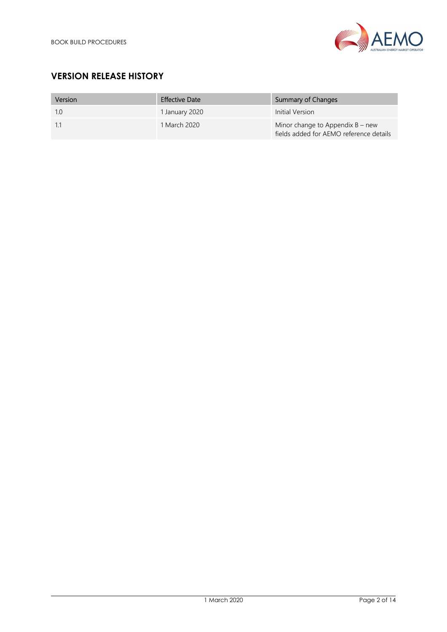

# VERSION RELEASE HISTORY

| Version | <b>Effective Date</b> | Summary of Changes                                                            |
|---------|-----------------------|-------------------------------------------------------------------------------|
| 1.0     | 1 January 2020        | Initial Version                                                               |
| -1.1    | 1 March 2020          | Minor change to Appendix $B$ – new<br>fields added for AEMO reference details |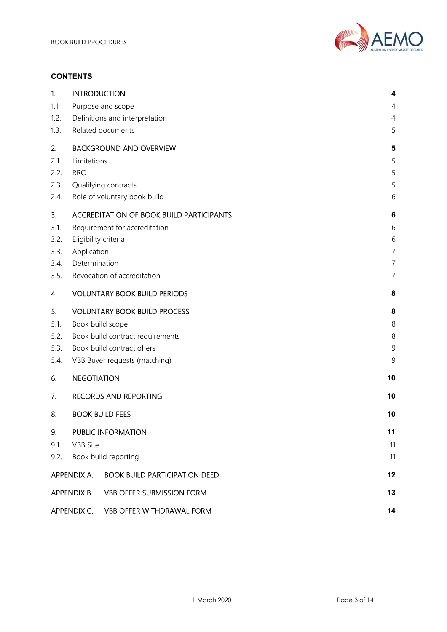

#### **CONTENTS**

| 1.   | <b>INTRODUCTION</b>                           |                                                 | 4              |
|------|-----------------------------------------------|-------------------------------------------------|----------------|
| 1.1. |                                               | Purpose and scope                               | 4              |
| 1.2. |                                               | Definitions and interpretation                  | 4              |
| 1.3. |                                               | Related documents                               | 5              |
| 2.   |                                               | <b>BACKGROUND AND OVERVIEW</b>                  | 5              |
| 2.1. | Limitations                                   |                                                 | 5              |
| 2.2. | <b>RRO</b>                                    |                                                 | 5              |
| 2.3. |                                               | Qualifying contracts                            | 5              |
| 2.4. |                                               | Role of voluntary book build                    | 6              |
| 3.   |                                               | <b>ACCREDITATION OF BOOK BUILD PARTICIPANTS</b> | 6              |
| 3.1. |                                               | Requirement for accreditation                   | 6              |
| 3.2. | Eligibility criteria                          |                                                 | 6              |
| 3.3. | Application                                   |                                                 | $\overline{7}$ |
| 3.4. | Determination                                 |                                                 | $\overline{7}$ |
| 3.5. | Revocation of accreditation<br>$\overline{7}$ |                                                 |                |
| 4.   |                                               | <b>VOLUNTARY BOOK BUILD PERIODS</b>             | 8              |
| 5.   |                                               | <b>VOLUNTARY BOOK BUILD PROCESS</b>             | 8              |
| 5.1. | Book build scope                              |                                                 | 8              |
| 5.2. | Book build contract requirements              |                                                 | 8              |
| 5.3. | Book build contract offers                    |                                                 | 9              |
| 5.4. |                                               | VBB Buyer requests (matching)                   | 9              |
| 6.   | <b>NEGOTIATION</b>                            |                                                 | 10             |
| 7.   |                                               | <b>RECORDS AND REPORTING</b>                    | 10             |
| 8.   |                                               | <b>BOOK BUILD FEES</b>                          | 10             |
| 9.   |                                               | <b>PUBLIC INFORMATION</b>                       | 11             |
| 9.1. | <b>VBB</b> Site                               |                                                 | 11             |
| 9.2. |                                               | Book build reporting                            | 11             |
|      | APPENDIX A.                                   | <b>BOOK BUILD PARTICIPATION DEED</b>            | 12             |
|      | APPENDIX B.                                   | <b>VBB OFFER SUBMISSION FORM</b>                | 13             |
|      | APPENDIX C.                                   | <b>VBB OFFER WITHDRAWAL FORM</b>                | 14             |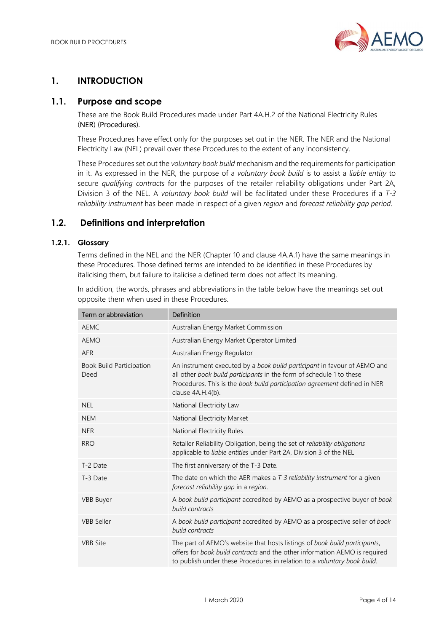

# 1. INTRODUCTION

### 1.1. Purpose and scope

These are the Book Build Procedures made under Part 4A.H.2 of the National Electricity Rules (NER) (Procedures).

These Procedures have effect only for the purposes set out in the NER. The NER and the National Electricity Law (NEL) prevail over these Procedures to the extent of any inconsistency.

These Procedures set out the voluntary book build mechanism and the requirements for participation in it. As expressed in the NER, the purpose of a voluntary book build is to assist a liable entity to secure qualifying contracts for the purposes of the retailer reliability obligations under Part 2A, Division 3 of the NEL. A voluntary book build will be facilitated under these Procedures if a T-3 reliability instrument has been made in respect of a given region and forecast reliability gap period.

## 1.2. Definitions and interpretation

#### 1.2.1. Glossary

Terms defined in the NEL and the NER (Chapter 10 and clause 4A.A.1) have the same meanings in these Procedures. Those defined terms are intended to be identified in these Procedures by italicising them, but failure to italicise a defined term does not affect its meaning.

| Term or abbreviation                    | Definition                                                                                                                                                                                                                                         |
|-----------------------------------------|----------------------------------------------------------------------------------------------------------------------------------------------------------------------------------------------------------------------------------------------------|
| <b>AEMC</b>                             | Australian Energy Market Commission                                                                                                                                                                                                                |
| <b>AEMO</b>                             | Australian Energy Market Operator Limited                                                                                                                                                                                                          |
| <b>AER</b>                              | Australian Energy Regulator                                                                                                                                                                                                                        |
| <b>Book Build Participation</b><br>Deed | An instrument executed by a book build participant in favour of AEMO and<br>all other book build participants in the form of schedule 1 to these<br>Procedures. This is the book build participation agreement defined in NER<br>clause 4A.H.4(b). |
| <b>NEL</b>                              | National Electricity Law                                                                                                                                                                                                                           |
| <b>NEM</b>                              | National Electricity Market                                                                                                                                                                                                                        |
| <b>NER</b>                              | National Electricity Rules                                                                                                                                                                                                                         |
| <b>RRO</b>                              | Retailer Reliability Obligation, being the set of reliability obligations<br>applicable to liable entities under Part 2A, Division 3 of the NEL                                                                                                    |
| T-2 Date                                | The first anniversary of the T-3 Date.                                                                                                                                                                                                             |
| T-3 Date                                | The date on which the AER makes a T-3 reliability instrument for a given<br>forecast reliability gap in a region.                                                                                                                                  |
| <b>VBB Buyer</b>                        | A book build participant accredited by AEMO as a prospective buyer of book<br>build contracts                                                                                                                                                      |
| <b>VBB Seller</b>                       | A book build participant accredited by AEMO as a prospective seller of book<br>build contracts                                                                                                                                                     |
| <b>VBB</b> Site                         | The part of AEMO's website that hosts listings of book build participants,<br>offers for book build contracts and the other information AEMO is required<br>to publish under these Procedures in relation to a voluntary book build.               |

In addition, the words, phrases and abbreviations in the table below have the meanings set out opposite them when used in these Procedures.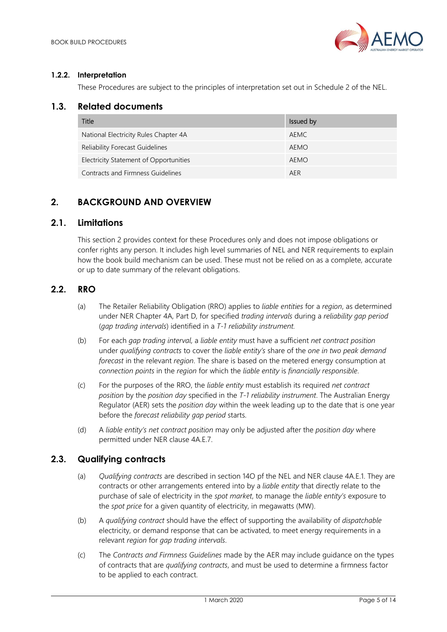

#### 1.2.2. Interpretation

These Procedures are subject to the principles of interpretation set out in Schedule 2 of the NEL.

#### 1.3. Related documents

| Title                                  | Issued by |
|----------------------------------------|-----------|
| National Electricity Rules Chapter 4A  | AFMC      |
| <b>Reliability Forecast Guidelines</b> | AEMO      |
| Electricity Statement of Opportunities | AEMO      |
| Contracts and Firmness Guidelines      | AFR       |

# 2. BACKGROUND AND OVERVIEW

#### 2.1. Limitations

This section 2 provides context for these Procedures only and does not impose obligations or confer rights any person. It includes high level summaries of NEL and NER requirements to explain how the book build mechanism can be used. These must not be relied on as a complete, accurate or up to date summary of the relevant obligations.

#### 2.2. RRO

- (a) The Retailer Reliability Obligation (RRO) applies to liable entities for a region, as determined under NER Chapter 4A, Part D, for specified trading intervals during a reliability gap period (gap trading intervals) identified in a T-1 reliability instrument.
- (b) For each gap trading interval, a liable entity must have a sufficient net contract position under qualifying contracts to cover the liable entity's share of the one in two peak demand forecast in the relevant region. The share is based on the metered energy consumption at connection points in the region for which the liable entity is financially responsible.
- (c) For the purposes of the RRO, the liable entity must establish its required net contract position by the position day specified in the T-1 reliability instrument. The Australian Energy Regulator (AER) sets the *position day* within the week leading up to the date that is one year before the forecast reliability gap period starts.
- (d) A liable entity's net contract position may only be adjusted after the position day where permitted under NER clause 4A.E.7.

#### 2.3. Qualifying contracts

- (a) *Qualifying contracts* are described in section 14O pf the NEL and NER clause 4A.E.1. They are contracts or other arrangements entered into by a *liable entity* that directly relate to the purchase of sale of electricity in the spot market, to manage the liable entity's exposure to the spot price for a given quantity of electricity, in megawatts (MW).
- (b) A qualifying contract should have the effect of supporting the availability of dispatchable electricity, or demand response that can be activated, to meet energy requirements in a relevant region for gap trading intervals.
- (c) The Contracts and Firmness Guidelines made by the AER may include guidance on the types of contracts that are qualifying contracts, and must be used to determine a firmness factor to be applied to each contract.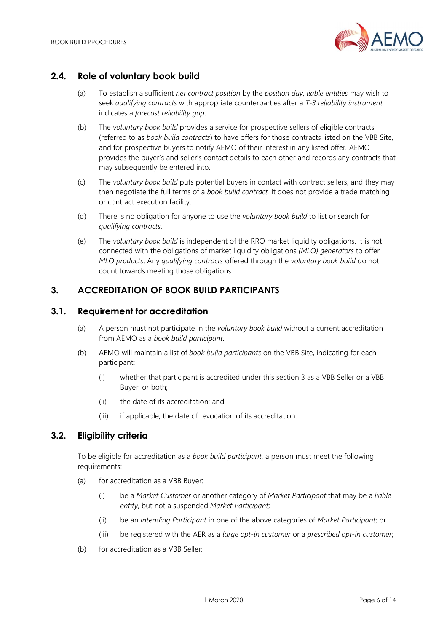

#### 2.4. Role of voluntary book build

- (a) To establish a sufficient net contract position by the position day, liable entities may wish to seek qualifying contracts with appropriate counterparties after a T-3 reliability instrument indicates a forecast reliability gap.
- (b) The voluntary book build provides a service for prospective sellers of eligible contracts (referred to as book build contracts) to have offers for those contracts listed on the VBB Site, and for prospective buyers to notify AEMO of their interest in any listed offer. AEMO provides the buyer's and seller's contact details to each other and records any contracts that may subsequently be entered into.
- (c) The voluntary book build puts potential buyers in contact with contract sellers, and they may then negotiate the full terms of a book build contract. It does not provide a trade matching or contract execution facility.
- (d) There is no obligation for anyone to use the voluntary book build to list or search for qualifying contracts.
- (e) The voluntary book build is independent of the RRO market liquidity obligations. It is not connected with the obligations of market liquidity obligations (MLO) generators to offer MLO products. Any qualifying contracts offered through the voluntary book build do not count towards meeting those obligations.

#### 3. ACCREDITATION OF BOOK BUILD PARTICIPANTS

#### 3.1. Requirement for accreditation

- (a) A person must not participate in the *voluntary book build* without a current accreditation from AEMO as a book build participant.
- (b) AEMO will maintain a list of book build participants on the VBB Site, indicating for each participant:
	- (i) whether that participant is accredited under this section 3 as a VBB Seller or a VBB Buyer, or both;
	- (ii) the date of its accreditation; and
	- (iii) if applicable, the date of revocation of its accreditation.

#### 3.2. Eligibility criteria

To be eligible for accreditation as a *book build participant*, a person must meet the following requirements:

- (a) for accreditation as a VBB Buyer:
	- (i) be a Market Customer or another category of Market Participant that may be a liable entity, but not a suspended Market Participant;
	- (ii) be an Intending Participant in one of the above categories of Market Participant; or
	- (iii) be registered with the AER as a large opt-in customer or a prescribed opt-in customer;
- (b) for accreditation as a VBB Seller: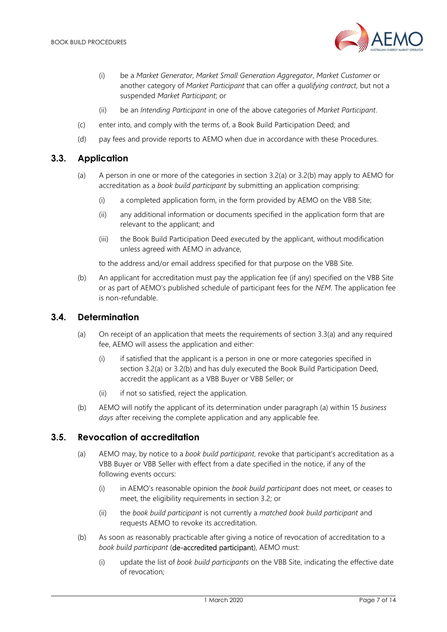

- (i) be a Market Generator, Market Small Generation Aggregator, Market Customer or another category of Market Participant that can offer a qualifying contract, but not a suspended Market Participant; or
- (ii) be an Intending Participant in one of the above categories of Market Participant.
- (c) enter into, and comply with the terms of, a Book Build Participation Deed; and
- (d) pay fees and provide reports to AEMO when due in accordance with these Procedures.

#### 3.3. Application

- (a) A person in one or more of the categories in section 3.2(a) or 3.2(b) may apply to AEMO for accreditation as a *book build participant* by submitting an application comprising:
	- (i) a completed application form, in the form provided by AEMO on the VBB Site;
	- (ii) any additional information or documents specified in the application form that are relevant to the applicant; and
	- (iii) the Book Build Participation Deed executed by the applicant, without modification unless agreed with AEMO in advance,

to the address and/or email address specified for that purpose on the VBB Site.

(b) An applicant for accreditation must pay the application fee (if any) specified on the VBB Site or as part of AEMO's published schedule of participant fees for the NEM. The application fee is non-refundable.

#### 3.4. Determination

- (a) On receipt of an application that meets the requirements of section 3.3(a) and any required fee, AEMO will assess the application and either:
	- (i) if satisfied that the applicant is a person in one or more categories specified in section 3.2(a) or 3.2(b) and has duly executed the Book Build Participation Deed, accredit the applicant as a VBB Buyer or VBB Seller; or
	- (ii) if not so satisfied, reject the application.
- (b) AEMO will notify the applicant of its determination under paragraph (a) within 15 business days after receiving the complete application and any applicable fee.

#### 3.5. Revocation of accreditation

- (a) AEMO may, by notice to a *book build participant*, revoke that participant's accreditation as a VBB Buyer or VBB Seller with effect from a date specified in the notice, if any of the following events occurs:
	- (i) in AEMO's reasonable opinion the book build participant does not meet, or ceases to meet, the eligibility requirements in section 3.2; or
	- (ii) the book build participant is not currently a matched book build participant and requests AEMO to revoke its accreditation.
- (b) As soon as reasonably practicable after giving a notice of revocation of accreditation to a book build participant (de-accredited participant), AEMO must:
	- (i) update the list of book build participants on the VBB Site, indicating the effective date of revocation;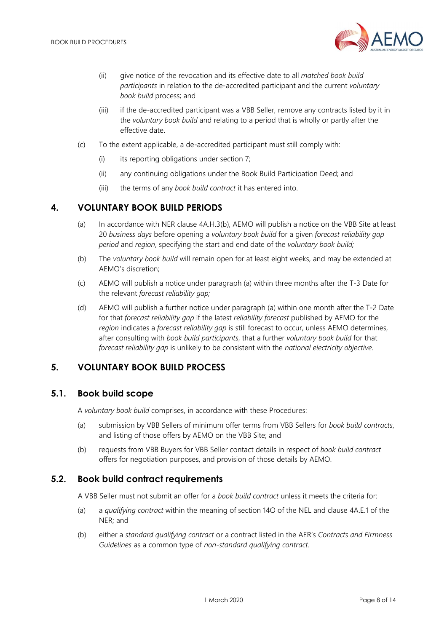

- (ii) give notice of the revocation and its effective date to all matched book build participants in relation to the de-accredited participant and the current voluntary book build process; and
- (iii) if the de-accredited participant was a VBB Seller, remove any contracts listed by it in the voluntary book build and relating to a period that is wholly or partly after the effective date.
- (c) To the extent applicable, a de-accredited participant must still comply with:
	- $(i)$  its reporting obligations under section 7;
	- (ii) any continuing obligations under the Book Build Participation Deed; and
	- (iii) the terms of any book build contract it has entered into.

## 4. VOLUNTARY BOOK BUILD PERIODS

- (a) In accordance with NER clause 4A.H.3(b), AEMO will publish a notice on the VBB Site at least 20 business days before opening a voluntary book build for a given forecast reliability gap period and region, specifying the start and end date of the voluntary book build;
- (b) The voluntary book build will remain open for at least eight weeks, and may be extended at AEMO's discretion;
- (c) AEMO will publish a notice under paragraph (a) within three months after the T-3 Date for the relevant forecast reliability gap;
- (d) AEMO will publish a further notice under paragraph (a) within one month after the T-2 Date for that forecast reliability gap if the latest reliability forecast published by AEMO for the region indicates a forecast reliability gap is still forecast to occur, unless AEMO determines, after consulting with book build participants, that a further voluntary book build for that forecast reliability gap is unlikely to be consistent with the national electricity objective.

## 5. VOLUNTARY BOOK BUILD PROCESS

#### 5.1. Book build scope

A voluntary book build comprises, in accordance with these Procedures:

- (a) submission by VBB Sellers of minimum offer terms from VBB Sellers for book build contracts, and listing of those offers by AEMO on the VBB Site; and
- (b) requests from VBB Buyers for VBB Seller contact details in respect of book build contract offers for negotiation purposes, and provision of those details by AEMO.

#### 5.2. Book build contract requirements

A VBB Seller must not submit an offer for a book build contract unless it meets the criteria for:

- (a) a qualifying contract within the meaning of section 14O of the NEL and clause 4A.E.1 of the NER; and
- (b) either a standard qualifying contract or a contract listed in the AER's Contracts and Firmness Guidelines as a common type of non-standard qualifying contract.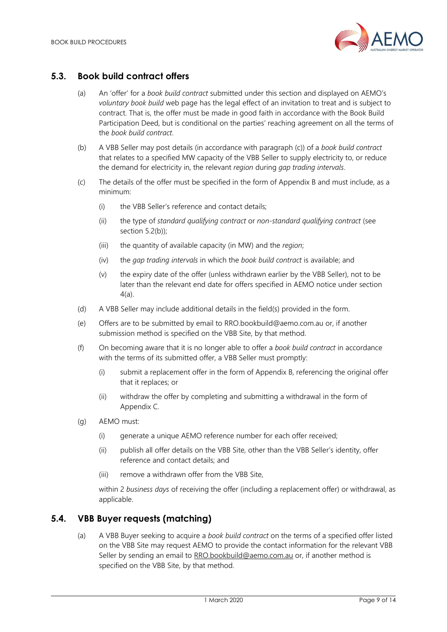

#### 5.3. Book build contract offers

- (a) An 'offer' for a book build contract submitted under this section and displayed on AEMO's voluntary book build web page has the legal effect of an invitation to treat and is subject to contract. That is, the offer must be made in good faith in accordance with the Book Build Participation Deed, but is conditional on the parties' reaching agreement on all the terms of the book build contract.
- (b) A VBB Seller may post details (in accordance with paragraph (c)) of a book build contract that relates to a specified MW capacity of the VBB Seller to supply electricity to, or reduce the demand for electricity in, the relevant region during gap trading intervals.
- (c) The details of the offer must be specified in the form of Appendix B and must include, as a minimum:
	- (i) the VBB Seller's reference and contact details;
	- (ii) the type of standard qualifying contract or non-standard qualifying contract (see section 5.2(b));
	- (iii) the quantity of available capacity (in MW) and the region;
	- (iv) the gap trading intervals in which the book build contract is available; and
	- (v) the expiry date of the offer (unless withdrawn earlier by the VBB Seller), not to be later than the relevant end date for offers specified in AEMO notice under section 4(a).
- (d) A VBB Seller may include additional details in the field(s) provided in the form.
- (e) Offers are to be submitted by email to RRO.bookbuild@aemo.com.au or, if another submission method is specified on the VBB Site, by that method.
- (f) On becoming aware that it is no longer able to offer a book build contract in accordance with the terms of its submitted offer, a VBB Seller must promptly:
	- (i) submit a replacement offer in the form of Appendix B, referencing the original offer that it replaces; or
	- (ii) withdraw the offer by completing and submitting a withdrawal in the form of Appendix C.
- (g) AEMO must:
	- (i) generate a unique AEMO reference number for each offer received;
	- (ii) publish all offer details on the VBB Site, other than the VBB Seller's identity, offer reference and contact details; and
	- (iii) remove a withdrawn offer from the VBB Site,

within 2 business days of receiving the offer (including a replacement offer) or withdrawal, as applicable.

#### 5.4. VBB Buyer requests (matching)

(a) A VBB Buyer seeking to acquire a book build contract on the terms of a specified offer listed on the VBB Site may request AEMO to provide the contact information for the relevant VBB Seller by sending an email to RRO.bookbuild@aemo.com.au or, if another method is specified on the VBB Site, by that method.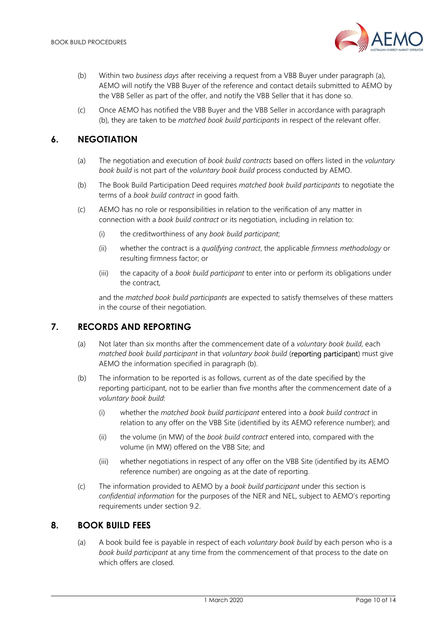

- (b) Within two business days after receiving a request from a VBB Buyer under paragraph (a), AEMO will notify the VBB Buyer of the reference and contact details submitted to AEMO by the VBB Seller as part of the offer, and notify the VBB Seller that it has done so.
- (c) Once AEMO has notified the VBB Buyer and the VBB Seller in accordance with paragraph (b), they are taken to be *matched book build participants* in respect of the relevant offer.

## 6. NEGOTIATION

- (a) The negotiation and execution of book build contracts based on offers listed in the voluntary book build is not part of the voluntary book build process conducted by AEMO.
- (b) The Book Build Participation Deed requires matched book build participants to negotiate the terms of a book build contract in good faith.
- (c) AEMO has no role or responsibilities in relation to the verification of any matter in connection with a book build contract or its negotiation, including in relation to:
	- (i) the creditworthiness of any book build participant;
	- (ii) whether the contract is a qualifying contract, the applicable firmness methodology or resulting firmness factor; or
	- (iii) the capacity of a book build participant to enter into or perform its obligations under the contract,

and the matched book build participants are expected to satisfy themselves of these matters in the course of their negotiation.

## 7. RECORDS AND REPORTING

- (a) Not later than six months after the commencement date of a voluntary book build, each matched book build participant in that voluntary book build (reporting participant) must give AEMO the information specified in paragraph (b).
- (b) The information to be reported is as follows, current as of the date specified by the reporting participant, not to be earlier than five months after the commencement date of a voluntary book build:
	- (i) whether the matched book build participant entered into a book build contract in relation to any offer on the VBB Site (identified by its AEMO reference number); and
	- (ii) the volume (in MW) of the book build contract entered into, compared with the volume (in MW) offered on the VBB Site; and
	- (iii) whether negotiations in respect of any offer on the VBB Site (identified by its AEMO reference number) are ongoing as at the date of reporting.
- (c) The information provided to AEMO by a book build participant under this section is confidential information for the purposes of the NER and NEL, subject to AEMO's reporting requirements under section 9.2.

#### 8. BOOK BUILD FFFS.

(a) A book build fee is payable in respect of each voluntary book build by each person who is a book build participant at any time from the commencement of that process to the date on which offers are closed.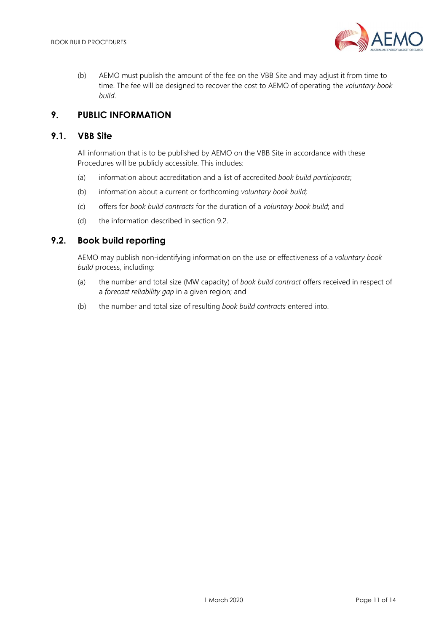

(b) AEMO must publish the amount of the fee on the VBB Site and may adjust it from time to time. The fee will be designed to recover the cost to AEMO of operating the voluntary book build.

## 9. PUBLIC INFORMATION

#### 9.1. VBB Site

All information that is to be published by AEMO on the VBB Site in accordance with these Procedures will be publicly accessible. This includes:

- (a) information about accreditation and a list of accredited book build participants;
- (b) information about a current or forthcoming voluntary book build;
- (c) offers for book build contracts for the duration of a voluntary book build; and
- (d) the information described in section 9.2

#### 9.2. Book build reporting

AEMO may publish non-identifying information on the use or effectiveness of a voluntary book build process, including:

- (a) the number and total size (MW capacity) of book build contract offers received in respect of a forecast reliability gap in a given region; and
- (b) the number and total size of resulting book build contracts entered into.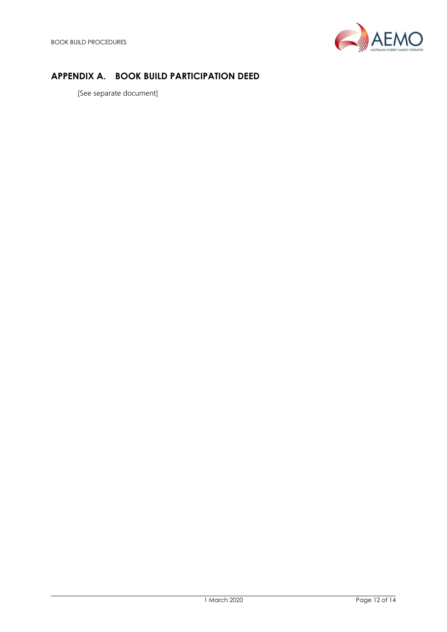

# APPENDIX A. BOOK BUILD PARTICIPATION DEED

[See separate document]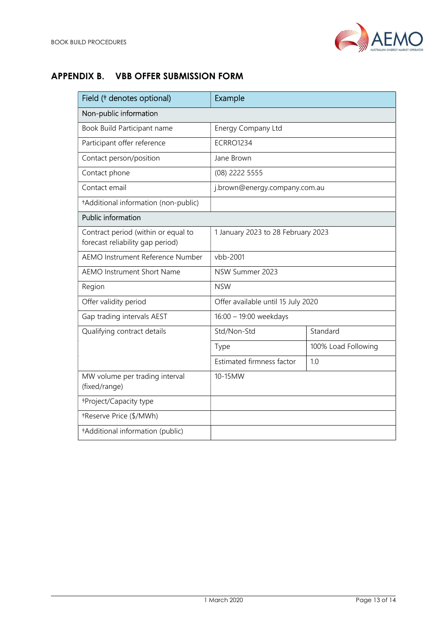

# APPENDIX B. VBB OFFER SUBMISSION FORM

| Field († denotes optional)                                              | Example                            |                     |  |
|-------------------------------------------------------------------------|------------------------------------|---------------------|--|
| Non-public information                                                  |                                    |                     |  |
| Book Build Participant name                                             | Energy Company Ltd                 |                     |  |
| Participant offer reference                                             | <b>ECRRO1234</b>                   |                     |  |
| Contact person/position                                                 | Jane Brown                         |                     |  |
| Contact phone                                                           | (08) 2222 5555                     |                     |  |
| Contact email                                                           | j.brown@energy.company.com.au      |                     |  |
| +Additional information (non-public)                                    |                                    |                     |  |
| <b>Public information</b>                                               |                                    |                     |  |
| Contract period (within or equal to<br>forecast reliability gap period) | 1 January 2023 to 28 February 2023 |                     |  |
| AEMO Instrument Reference Number                                        | vbb-2001                           |                     |  |
| <b>AEMO Instrument Short Name</b>                                       | NSW Summer 2023                    |                     |  |
| Region                                                                  | <b>NSW</b>                         |                     |  |
| Offer validity period                                                   | Offer available until 15 July 2020 |                     |  |
| Gap trading intervals AEST                                              | 16:00 - 19:00 weekdays             |                     |  |
| Qualifying contract details                                             | Std/Non-Std                        | Standard            |  |
|                                                                         | Type                               | 100% Load Following |  |
|                                                                         | Estimated firmness factor          | 1.0                 |  |
| MW volume per trading interval<br>(fixed/range)                         | 10-15MW                            |                     |  |
| +Project/Capacity type                                                  |                                    |                     |  |
| +Reserve Price (\$/MWh)                                                 |                                    |                     |  |
| +Additional information (public)                                        |                                    |                     |  |